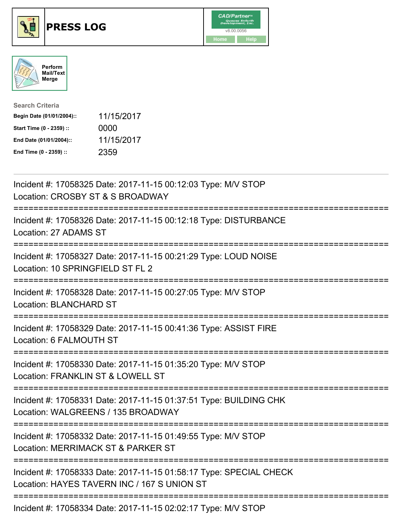





| <b>Search Criteria</b>    |            |
|---------------------------|------------|
| Begin Date (01/01/2004):: | 11/15/2017 |
| Start Time (0 - 2359) ::  | 0000       |
| End Date (01/01/2004)::   | 11/15/2017 |
| End Time (0 - 2359) ::    | 2359       |

| Incident #: 17058325 Date: 2017-11-15 00:12:03 Type: M/V STOP<br>Location: CROSBY ST & S BROADWAY                                                       |
|---------------------------------------------------------------------------------------------------------------------------------------------------------|
| Incident #: 17058326 Date: 2017-11-15 00:12:18 Type: DISTURBANCE<br>Location: 27 ADAMS ST<br>:=================                                         |
| Incident #: 17058327 Date: 2017-11-15 00:21:29 Type: LOUD NOISE<br>Location: 10 SPRINGFIELD ST FL 2<br>------------                                     |
| Incident #: 17058328 Date: 2017-11-15 00:27:05 Type: M/V STOP<br><b>Location: BLANCHARD ST</b><br>-----------------------------------                   |
| Incident #: 17058329 Date: 2017-11-15 00:41:36 Type: ASSIST FIRE<br>Location: 6 FALMOUTH ST                                                             |
| Incident #: 17058330 Date: 2017-11-15 01:35:20 Type: M/V STOP<br>Location: FRANKLIN ST & LOWELL ST<br>==========================                        |
| Incident #: 17058331 Date: 2017-11-15 01:37:51 Type: BUILDING CHK<br>Location: WALGREENS / 135 BROADWAY<br>:===============================             |
| Incident #: 17058332 Date: 2017-11-15 01:49:55 Type: M/V STOP<br>Location: MERRIMACK ST & PARKER ST<br>:=============================                   |
| Incident #: 17058333 Date: 2017-11-15 01:58:17 Type: SPECIAL CHECK<br>Location: HAYES TAVERN INC / 167 S UNION ST<br>---------------------------------- |
| Incident #: 17058334 Date: 2017-11-15 02:02:17 Type: M/V STOP                                                                                           |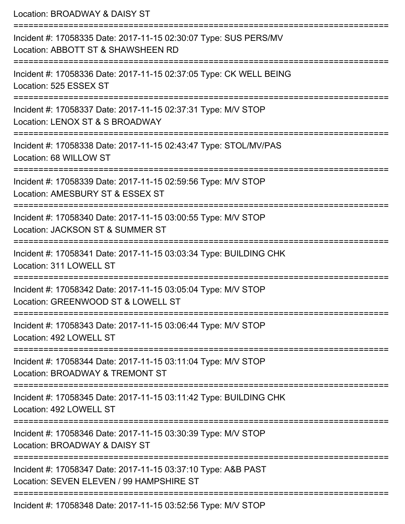Location: BROADWAY & DAISY ST =========================================================================== Incident #: 17058335 Date: 2017-11-15 02:30:07 Type: SUS PERS/MV Location: ABBOTT ST & SHAWSHEEN RD =========================================================================== Incident #: 17058336 Date: 2017-11-15 02:37:05 Type: CK WELL BEING Location: 525 ESSEX ST =========================================================================== Incident #: 17058337 Date: 2017-11-15 02:37:31 Type: M/V STOP Location: LENOX ST & S BROADWAY =========================================================================== Incident #: 17058338 Date: 2017-11-15 02:43:47 Type: STOL/MV/PAS Location: 68 WILLOW ST =========================================================================== Incident #: 17058339 Date: 2017-11-15 02:59:56 Type: M/V STOP Location: AMESBURY ST & ESSEX ST =========================================================================== Incident #: 17058340 Date: 2017-11-15 03:00:55 Type: M/V STOP Location: JACKSON ST & SUMMER ST =========================================================================== Incident #: 17058341 Date: 2017-11-15 03:03:34 Type: BUILDING CHK Location: 311 LOWELL ST =========================================================================== Incident #: 17058342 Date: 2017-11-15 03:05:04 Type: M/V STOP Location: GREENWOOD ST & LOWELL ST =========================================================================== Incident #: 17058343 Date: 2017-11-15 03:06:44 Type: M/V STOP Location: 492 LOWELL ST =========================================================================== Incident #: 17058344 Date: 2017-11-15 03:11:04 Type: M/V STOP Location: BROADWAY & TREMONT ST =========================================================================== Incident #: 17058345 Date: 2017-11-15 03:11:42 Type: BUILDING CHK Location: 492 LOWELL ST =========================================================================== Incident #: 17058346 Date: 2017-11-15 03:30:39 Type: M/V STOP Location: BROADWAY & DAISY ST =========================================================================== Incident #: 17058347 Date: 2017-11-15 03:37:10 Type: A&B PAST Location: SEVEN ELEVEN / 99 HAMPSHIRE ST ===========================================================================

Incident #: 17058348 Date: 2017-11-15 03:52:56 Type: M/V STOP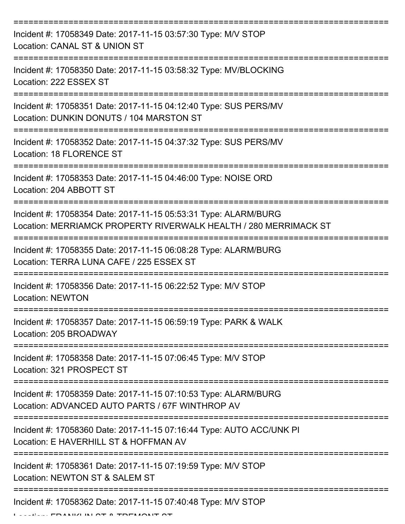| Incident #: 17058349 Date: 2017-11-15 03:57:30 Type: M/V STOP<br>Location: CANAL ST & UNION ST                                      |
|-------------------------------------------------------------------------------------------------------------------------------------|
| Incident #: 17058350 Date: 2017-11-15 03:58:32 Type: MV/BLOCKING<br>Location: 222 ESSEX ST                                          |
| Incident #: 17058351 Date: 2017-11-15 04:12:40 Type: SUS PERS/MV<br>Location: DUNKIN DONUTS / 104 MARSTON ST                        |
| Incident #: 17058352 Date: 2017-11-15 04:37:32 Type: SUS PERS/MV<br>Location: 18 FLORENCE ST                                        |
| Incident #: 17058353 Date: 2017-11-15 04:46:00 Type: NOISE ORD<br>Location: 204 ABBOTT ST                                           |
| Incident #: 17058354 Date: 2017-11-15 05:53:31 Type: ALARM/BURG<br>Location: MERRIAMCK PROPERTY RIVERWALK HEALTH / 280 MERRIMACK ST |
| Incident #: 17058355 Date: 2017-11-15 06:08:28 Type: ALARM/BURG<br>Location: TERRA LUNA CAFE / 225 ESSEX ST                         |
| Incident #: 17058356 Date: 2017-11-15 06:22:52 Type: M/V STOP<br><b>Location: NEWTON</b>                                            |
| Incident #: 17058357 Date: 2017-11-15 06:59:19 Type: PARK & WALK<br>Location: 205 BROADWAY                                          |
| Incident #: 17058358 Date: 2017-11-15 07:06:45 Type: M/V STOP<br>Location: 321 PROSPECT ST                                          |
| Incident #: 17058359 Date: 2017-11-15 07:10:53 Type: ALARM/BURG<br>Location: ADVANCED AUTO PARTS / 67F WINTHROP AV                  |
| Incident #: 17058360 Date: 2017-11-15 07:16:44 Type: AUTO ACC/UNK PI<br>Location: E HAVERHILL ST & HOFFMAN AV                       |
| Incident #: 17058361 Date: 2017-11-15 07:19:59 Type: M/V STOP<br>Location: NEWTON ST & SALEM ST                                     |
| Incident #: 17058362 Date: 2017-11-15 07:40:48 Type: M/V STOP                                                                       |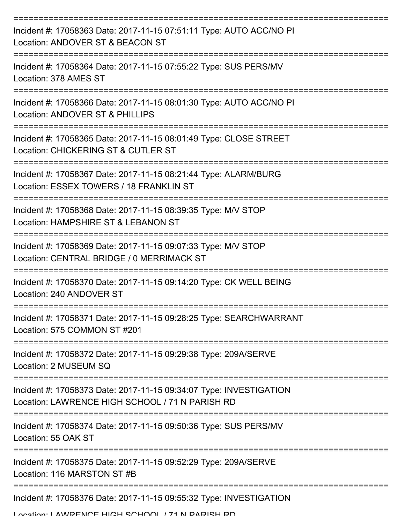| Incident #: 17058363 Date: 2017-11-15 07:51:11 Type: AUTO ACC/NO PI<br>Location: ANDOVER ST & BEACON ST               |
|-----------------------------------------------------------------------------------------------------------------------|
| Incident #: 17058364 Date: 2017-11-15 07:55:22 Type: SUS PERS/MV<br>Location: 378 AMES ST                             |
| Incident #: 17058366 Date: 2017-11-15 08:01:30 Type: AUTO ACC/NO PI<br>Location: ANDOVER ST & PHILLIPS                |
| Incident #: 17058365 Date: 2017-11-15 08:01:49 Type: CLOSE STREET<br>Location: CHICKERING ST & CUTLER ST              |
| Incident #: 17058367 Date: 2017-11-15 08:21:44 Type: ALARM/BURG<br>Location: ESSEX TOWERS / 18 FRANKLIN ST            |
| Incident #: 17058368 Date: 2017-11-15 08:39:35 Type: M/V STOP<br>Location: HAMPSHIRE ST & LEBANON ST                  |
| Incident #: 17058369 Date: 2017-11-15 09:07:33 Type: M/V STOP<br>Location: CENTRAL BRIDGE / 0 MERRIMACK ST            |
| Incident #: 17058370 Date: 2017-11-15 09:14:20 Type: CK WELL BEING<br>Location: 240 ANDOVER ST                        |
| Incident #: 17058371 Date: 2017-11-15 09:28:25 Type: SEARCHWARRANT<br>Location: 575 COMMON ST #201                    |
| Incident #: 17058372 Date: 2017-11-15 09:29:38 Type: 209A/SERVE<br>Location: 2 MUSEUM SQ                              |
| Incident #: 17058373 Date: 2017-11-15 09:34:07 Type: INVESTIGATION<br>Location: LAWRENCE HIGH SCHOOL / 71 N PARISH RD |
| Incident #: 17058374 Date: 2017-11-15 09:50:36 Type: SUS PERS/MV<br>Location: 55 OAK ST                               |
| Incident #: 17058375 Date: 2017-11-15 09:52:29 Type: 209A/SERVE<br>Location: 116 MARSTON ST#B                         |
| Incident #: 17058376 Date: 2017-11-15 09:55:32 Type: INVESTIGATION                                                    |
| I ocation: I AM/DENICE HICH COHOOI / 74 N DADICH DD                                                                   |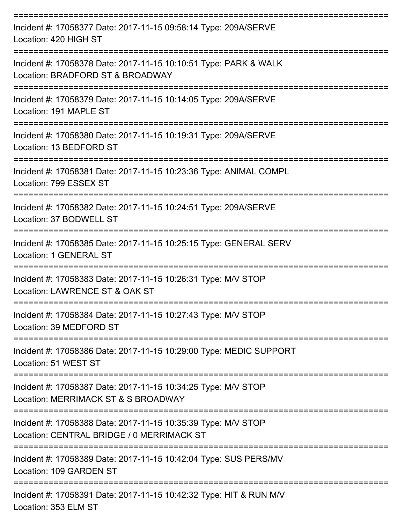| Incident #: 17058377 Date: 2017-11-15 09:58:14 Type: 209A/SERVE<br>Location: 420 HIGH ST                   |
|------------------------------------------------------------------------------------------------------------|
| Incident #: 17058378 Date: 2017-11-15 10:10:51 Type: PARK & WALK<br>Location: BRADFORD ST & BROADWAY       |
| Incident #: 17058379 Date: 2017-11-15 10:14:05 Type: 209A/SERVE<br>Location: 191 MAPLE ST                  |
| Incident #: 17058380 Date: 2017-11-15 10:19:31 Type: 209A/SERVE<br>Location: 13 BEDFORD ST                 |
| Incident #: 17058381 Date: 2017-11-15 10:23:36 Type: ANIMAL COMPL<br>Location: 799 ESSEX ST                |
| Incident #: 17058382 Date: 2017-11-15 10:24:51 Type: 209A/SERVE<br>Location: 37 BODWELL ST                 |
| Incident #: 17058385 Date: 2017-11-15 10:25:15 Type: GENERAL SERV<br>Location: 1 GENERAL ST                |
| Incident #: 17058383 Date: 2017-11-15 10:26:31 Type: M/V STOP<br>Location: LAWRENCE ST & OAK ST            |
| Incident #: 17058384 Date: 2017-11-15 10:27:43 Type: M/V STOP<br>Location: 39 MEDFORD ST                   |
| Incident #: 17058386 Date: 2017-11-15 10:29:00 Type: MEDIC SUPPORT<br>Location: 51 WEST ST                 |
| Incident #: 17058387 Date: 2017-11-15 10:34:25 Type: M/V STOP<br>Location: MERRIMACK ST & S BROADWAY       |
| Incident #: 17058388 Date: 2017-11-15 10:35:39 Type: M/V STOP<br>Location: CENTRAL BRIDGE / 0 MERRIMACK ST |
| Incident #: 17058389 Date: 2017-11-15 10:42:04 Type: SUS PERS/MV<br>Location: 109 GARDEN ST                |
| Incident #: 17058391 Date: 2017-11-15 10:42:32 Type: HIT & RUN M/V<br>Location: 353 ELM ST                 |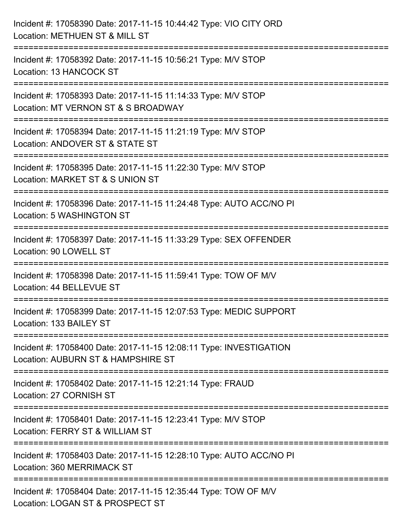| Incident #: 17058390 Date: 2017-11-15 10:44:42 Type: VIO CITY ORD<br>Location: METHUEN ST & MILL ST                               |
|-----------------------------------------------------------------------------------------------------------------------------------|
| :======================<br>Incident #: 17058392 Date: 2017-11-15 10:56:21 Type: M/V STOP<br>Location: 13 HANCOCK ST               |
| Incident #: 17058393 Date: 2017-11-15 11:14:33 Type: M/V STOP<br>Location: MT VERNON ST & S BROADWAY<br>======================    |
| Incident #: 17058394 Date: 2017-11-15 11:21:19 Type: M/V STOP<br>Location: ANDOVER ST & STATE ST                                  |
| Incident #: 17058395 Date: 2017-11-15 11:22:30 Type: M/V STOP<br>Location: MARKET ST & S UNION ST                                 |
| Incident #: 17058396 Date: 2017-11-15 11:24:48 Type: AUTO ACC/NO PI<br>Location: 5 WASHINGTON ST                                  |
| Incident #: 17058397 Date: 2017-11-15 11:33:29 Type: SEX OFFENDER<br>Location: 90 LOWELL ST                                       |
| ==================================<br>Incident #: 17058398 Date: 2017-11-15 11:59:41 Type: TOW OF M/V<br>Location: 44 BELLEVUE ST |
| Incident #: 17058399 Date: 2017-11-15 12:07:53 Type: MEDIC SUPPORT<br>Location: 133 BAILEY ST                                     |
| Incident #: 17058400 Date: 2017-11-15 12:08:11 Type: INVESTIGATION<br>Location: AUBURN ST & HAMPSHIRE ST                          |
| Incident #: 17058402 Date: 2017-11-15 12:21:14 Type: FRAUD<br>Location: 27 CORNISH ST                                             |
| Incident #: 17058401 Date: 2017-11-15 12:23:41 Type: M/V STOP<br>Location: FERRY ST & WILLIAM ST                                  |
| Incident #: 17058403 Date: 2017-11-15 12:28:10 Type: AUTO ACC/NO PI<br>Location: 360 MERRIMACK ST                                 |
| Incident #: 17058404 Date: 2017-11-15 12:35:44 Type: TOW OF M/V<br>Location: LOGAN ST & PROSPECT ST                               |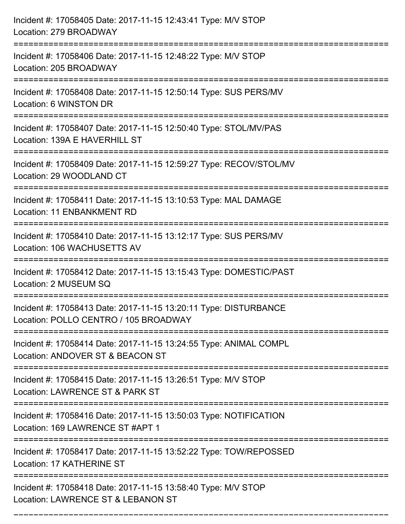| Incident #: 17058405 Date: 2017-11-15 12:43:41 Type: M/V STOP<br>Location: 279 BROADWAY                            |
|--------------------------------------------------------------------------------------------------------------------|
| Incident #: 17058406 Date: 2017-11-15 12:48:22 Type: M/V STOP<br>Location: 205 BROADWAY                            |
| Incident #: 17058408 Date: 2017-11-15 12:50:14 Type: SUS PERS/MV<br>Location: 6 WINSTON DR                         |
| Incident #: 17058407 Date: 2017-11-15 12:50:40 Type: STOL/MV/PAS<br>Location: 139A E HAVERHILL ST                  |
| Incident #: 17058409 Date: 2017-11-15 12:59:27 Type: RECOV/STOL/MV<br>Location: 29 WOODLAND CT                     |
| Incident #: 17058411 Date: 2017-11-15 13:10:53 Type: MAL DAMAGE<br><b>Location: 11 ENBANKMENT RD</b>               |
| Incident #: 17058410 Date: 2017-11-15 13:12:17 Type: SUS PERS/MV<br>Location: 106 WACHUSETTS AV<br>:============== |
| Incident #: 17058412 Date: 2017-11-15 13:15:43 Type: DOMESTIC/PAST<br>Location: 2 MUSEUM SQ                        |
| Incident #: 17058413 Date: 2017-11-15 13:20:11 Type: DISTURBANCE<br>Location: POLLO CENTRO / 105 BROADWAY          |
| Incident #: 17058414 Date: 2017-11-15 13:24:55 Type: ANIMAL COMPL<br>Location: ANDOVER ST & BEACON ST              |
| Incident #: 17058415 Date: 2017-11-15 13:26:51 Type: M/V STOP<br>Location: LAWRENCE ST & PARK ST                   |
| Incident #: 17058416 Date: 2017-11-15 13:50:03 Type: NOTIFICATION<br>Location: 169 LAWRENCE ST #APT 1              |
| Incident #: 17058417 Date: 2017-11-15 13:52:22 Type: TOW/REPOSSED<br>Location: 17 KATHERINE ST                     |
| Incident #: 17058418 Date: 2017-11-15 13:58:40 Type: M/V STOP<br>Location: LAWRENCE ST & LEBANON ST                |

===========================================================================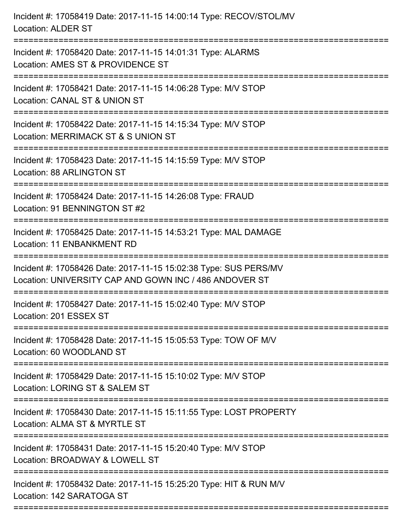| Incident #: 17058419 Date: 2017-11-15 14:00:14 Type: RECOV/STOL/MV<br><b>Location: ALDER ST</b>                            |
|----------------------------------------------------------------------------------------------------------------------------|
| Incident #: 17058420 Date: 2017-11-15 14:01:31 Type: ALARMS<br>Location: AMES ST & PROVIDENCE ST                           |
| Incident #: 17058421 Date: 2017-11-15 14:06:28 Type: M/V STOP<br>Location: CANAL ST & UNION ST<br>======================   |
| Incident #: 17058422 Date: 2017-11-15 14:15:34 Type: M/V STOP<br>Location: MERRIMACK ST & S UNION ST                       |
| Incident #: 17058423 Date: 2017-11-15 14:15:59 Type: M/V STOP<br><b>Location: 88 ARLINGTON ST</b>                          |
| Incident #: 17058424 Date: 2017-11-15 14:26:08 Type: FRAUD<br>Location: 91 BENNINGTON ST #2                                |
| Incident #: 17058425 Date: 2017-11-15 14:53:21 Type: MAL DAMAGE<br><b>Location: 11 ENBANKMENT RD</b>                       |
| Incident #: 17058426 Date: 2017-11-15 15:02:38 Type: SUS PERS/MV<br>Location: UNIVERSITY CAP AND GOWN INC / 486 ANDOVER ST |
| Incident #: 17058427 Date: 2017-11-15 15:02:40 Type: M/V STOP<br>Location: 201 ESSEX ST                                    |
| Incident #: 17058428 Date: 2017-11-15 15:05:53 Type: TOW OF M/V<br>Location: 60 WOODLAND ST                                |
| Incident #: 17058429 Date: 2017-11-15 15:10:02 Type: M/V STOP<br>Location: LORING ST & SALEM ST                            |
| Incident #: 17058430 Date: 2017-11-15 15:11:55 Type: LOST PROPERTY<br>Location: ALMA ST & MYRTLE ST                        |
| Incident #: 17058431 Date: 2017-11-15 15:20:40 Type: M/V STOP<br>Location: BROADWAY & LOWELL ST                            |
| Incident #: 17058432 Date: 2017-11-15 15:25:20 Type: HIT & RUN M/V<br>Location: 142 SARATOGA ST                            |
|                                                                                                                            |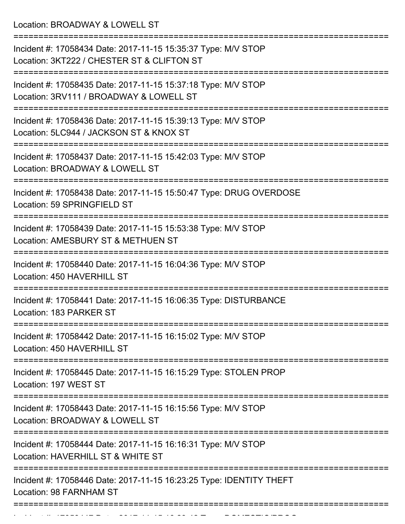Location: BROADWAY & LOWELL ST =========================================================================== Incident #: 17058434 Date: 2017-11-15 15:35:37 Type: M/V STOP Location: 3KT222 / CHESTER ST & CLIFTON ST =========================================================================== Incident #: 17058435 Date: 2017-11-15 15:37:18 Type: M/V STOP Location: 3RV111 / BROADWAY & LOWELL ST =========================================================================== Incident #: 17058436 Date: 2017-11-15 15:39:13 Type: M/V STOP Location: 5LC944 / JACKSON ST & KNOX ST =========================================================================== Incident #: 17058437 Date: 2017-11-15 15:42:03 Type: M/V STOP Location: BROADWAY & LOWELL ST =========================================================================== Incident #: 17058438 Date: 2017-11-15 15:50:47 Type: DRUG OVERDOSE Location: 59 SPRINGFIELD ST =========================================================================== Incident #: 17058439 Date: 2017-11-15 15:53:38 Type: M/V STOP Location: AMESBURY ST & METHUEN ST =========================================================================== Incident #: 17058440 Date: 2017-11-15 16:04:36 Type: M/V STOP Location: 450 HAVERHILL ST =========================================================================== Incident #: 17058441 Date: 2017-11-15 16:06:35 Type: DISTURBANCE Location: 183 PARKER ST =========================================================================== Incident #: 17058442 Date: 2017-11-15 16:15:02 Type: M/V STOP Location: 450 HAVERHILL ST =========================================================================== Incident #: 17058445 Date: 2017-11-15 16:15:29 Type: STOLEN PROP Location: 197 WEST ST =========================================================================== Incident #: 17058443 Date: 2017-11-15 16:15:56 Type: M/V STOP Location: BROADWAY & LOWELL ST =========================================================================== Incident #: 17058444 Date: 2017-11-15 16:16:31 Type: M/V STOP Location: HAVERHILL ST & WHITE ST =========================================================================== Incident #: 17058446 Date: 2017-11-15 16:23:25 Type: IDENTITY THEFT Location: 98 FARNHAM ST ===========================================================================

Incident #: 17058447 Date: 2017 11 15 16:23:42 Type: DOMESTIC/PROGRAM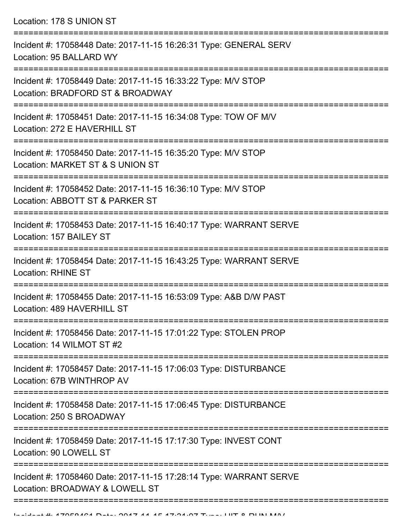Location: 178 S UNION ST

| Incident #: 17058448 Date: 2017-11-15 16:26:31 Type: GENERAL SERV<br>Location: 95 BALLARD WY                           |
|------------------------------------------------------------------------------------------------------------------------|
| Incident #: 17058449 Date: 2017-11-15 16:33:22 Type: M/V STOP<br>Location: BRADFORD ST & BROADWAY                      |
| Incident #: 17058451 Date: 2017-11-15 16:34:08 Type: TOW OF M/V<br>Location: 272 E HAVERHILL ST                        |
| Incident #: 17058450 Date: 2017-11-15 16:35:20 Type: M/V STOP<br>Location: MARKET ST & S UNION ST                      |
| Incident #: 17058452 Date: 2017-11-15 16:36:10 Type: M/V STOP<br>Location: ABBOTT ST & PARKER ST                       |
| Incident #: 17058453 Date: 2017-11-15 16:40:17 Type: WARRANT SERVE<br>Location: 157 BAILEY ST                          |
| Incident #: 17058454 Date: 2017-11-15 16:43:25 Type: WARRANT SERVE<br><b>Location: RHINE ST</b>                        |
| Incident #: 17058455 Date: 2017-11-15 16:53:09 Type: A&B D/W PAST<br>Location: 489 HAVERHILL ST                        |
| Incident #: 17058456 Date: 2017-11-15 17:01:22 Type: STOLEN PROP<br>Location: 14 WILMOT ST #2                          |
| ---------------<br>Incident #: 17058457 Date: 2017-11-15 17:06:03 Type: DISTURBANCE<br>Location: 67B WINTHROP AV       |
| ======================<br>Incident #: 17058458 Date: 2017-11-15 17:06:45 Type: DISTURBANCE<br>Location: 250 S BROADWAY |
| Incident #: 17058459 Date: 2017-11-15 17:17:30 Type: INVEST CONT<br>Location: 90 LOWELL ST                             |
| Incident #: 17058460 Date: 2017-11-15 17:28:14 Type: WARRANT SERVE<br>Location: BROADWAY & LOWELL ST                   |
|                                                                                                                        |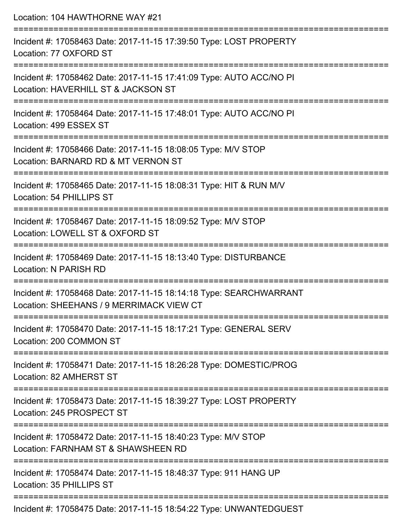| Location: 104 HAWTHORNE WAY #21                                                                                                     |
|-------------------------------------------------------------------------------------------------------------------------------------|
| Incident #: 17058463 Date: 2017-11-15 17:39:50 Type: LOST PROPERTY<br>Location: 77 OXFORD ST                                        |
| Incident #: 17058462 Date: 2017-11-15 17:41:09 Type: AUTO ACC/NO PI<br>Location: HAVERHILL ST & JACKSON ST                          |
| Incident #: 17058464 Date: 2017-11-15 17:48:01 Type: AUTO ACC/NO PI<br>Location: 499 ESSEX ST                                       |
| Incident #: 17058466 Date: 2017-11-15 18:08:05 Type: M/V STOP<br>Location: BARNARD RD & MT VERNON ST                                |
| Incident #: 17058465 Date: 2017-11-15 18:08:31 Type: HIT & RUN M/V<br>Location: 54 PHILLIPS ST                                      |
| Incident #: 17058467 Date: 2017-11-15 18:09:52 Type: M/V STOP<br>Location: LOWELL ST & OXFORD ST                                    |
| Incident #: 17058469 Date: 2017-11-15 18:13:40 Type: DISTURBANCE<br>Location: N PARISH RD                                           |
| Incident #: 17058468 Date: 2017-11-15 18:14:18 Type: SEARCHWARRANT<br>Location: SHEEHANS / 9 MERRIMACK VIEW CT                      |
| ;==================================<br>Incident #: 17058470 Date: 2017-11-15 18:17:21 Type: GENERAL SERV<br>Location: 200 COMMON ST |
| Incident #: 17058471 Date: 2017-11-15 18:26:28 Type: DOMESTIC/PROG<br>Location: 82 AMHERST ST                                       |
| Incident #: 17058473 Date: 2017-11-15 18:39:27 Type: LOST PROPERTY<br>Location: 245 PROSPECT ST                                     |
| Incident #: 17058472 Date: 2017-11-15 18:40:23 Type: M/V STOP<br>Location: FARNHAM ST & SHAWSHEEN RD                                |
| Incident #: 17058474 Date: 2017-11-15 18:48:37 Type: 911 HANG UP<br>Location: 35 PHILLIPS ST                                        |
| Incident #: 17058475 Date: 2017-11-15 18:54:22 Type: UNWANTEDGUEST                                                                  |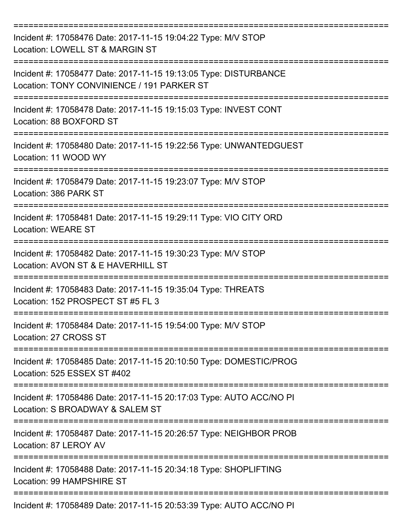| Incident #: 17058476 Date: 2017-11-15 19:04:22 Type: M/V STOP<br>Location: LOWELL ST & MARGIN ST                            |
|-----------------------------------------------------------------------------------------------------------------------------|
| Incident #: 17058477 Date: 2017-11-15 19:13:05 Type: DISTURBANCE<br>Location: TONY CONVINIENCE / 191 PARKER ST              |
| Incident #: 17058478 Date: 2017-11-15 19:15:03 Type: INVEST CONT<br>Location: 88 BOXFORD ST                                 |
| Incident #: 17058480 Date: 2017-11-15 19:22:56 Type: UNWANTEDGUEST<br>Location: 11 WOOD WY                                  |
| Incident #: 17058479 Date: 2017-11-15 19:23:07 Type: M/V STOP<br>Location: 386 PARK ST                                      |
| Incident #: 17058481 Date: 2017-11-15 19:29:11 Type: VIO CITY ORD<br><b>Location: WEARE ST</b>                              |
| Incident #: 17058482 Date: 2017-11-15 19:30:23 Type: M/V STOP<br>Location: AVON ST & E HAVERHILL ST                         |
| Incident #: 17058483 Date: 2017-11-15 19:35:04 Type: THREATS<br>Location: 152 PROSPECT ST #5 FL 3                           |
| Incident #: 17058484 Date: 2017-11-15 19:54:00 Type: M/V STOP<br>Location: 27 CROSS ST                                      |
| Incident #: 17058485 Date: 2017-11-15 20:10:50 Type: DOMESTIC/PROG<br>Location: 525 ESSEX ST #402                           |
| Incident #: 17058486 Date: 2017-11-15 20:17:03 Type: AUTO ACC/NO PI<br>Location: S BROADWAY & SALEM ST                      |
| Incident #: 17058487 Date: 2017-11-15 20:26:57 Type: NEIGHBOR PROB<br>Location: 87 LEROY AV                                 |
| Incident #: 17058488 Date: 2017-11-15 20:34:18 Type: SHOPLIFTING<br>Location: 99 HAMPSHIRE ST<br>-------------------------- |
| Incident #: 17058489 Date: 2017-11-15 20:53:39 Type: AUTO ACC/NO PI                                                         |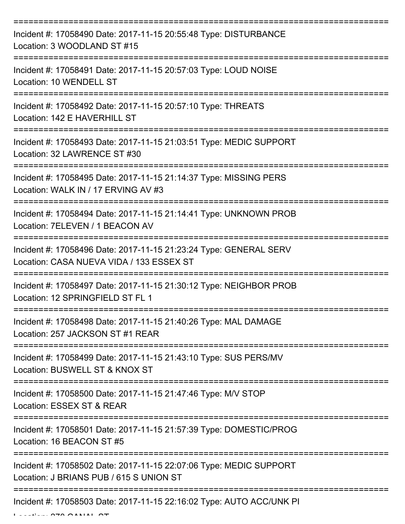| Incident #: 17058490 Date: 2017-11-15 20:55:48 Type: DISTURBANCE<br>Location: 3 WOODLAND ST #15               |
|---------------------------------------------------------------------------------------------------------------|
| Incident #: 17058491 Date: 2017-11-15 20:57:03 Type: LOUD NOISE<br>Location: 10 WENDELL ST                    |
| Incident #: 17058492 Date: 2017-11-15 20:57:10 Type: THREATS<br>Location: 142 E HAVERHILL ST                  |
| Incident #: 17058493 Date: 2017-11-15 21:03:51 Type: MEDIC SUPPORT<br>Location: 32 LAWRENCE ST #30            |
| Incident #: 17058495 Date: 2017-11-15 21:14:37 Type: MISSING PERS<br>Location: WALK IN / 17 ERVING AV #3      |
| Incident #: 17058494 Date: 2017-11-15 21:14:41 Type: UNKNOWN PROB<br>Location: 7ELEVEN / 1 BEACON AV          |
| Incident #: 17058496 Date: 2017-11-15 21:23:24 Type: GENERAL SERV<br>Location: CASA NUEVA VIDA / 133 ESSEX ST |
| Incident #: 17058497 Date: 2017-11-15 21:30:12 Type: NEIGHBOR PROB<br>Location: 12 SPRINGFIELD ST FL 1        |
| Incident #: 17058498 Date: 2017-11-15 21:40:26 Type: MAL DAMAGE<br>Location: 257 JACKSON ST #1 REAR           |
| Incident #: 17058499 Date: 2017-11-15 21:43:10 Type: SUS PERS/MV<br>Location: BUSWELL ST & KNOX ST            |
| Incident #: 17058500 Date: 2017-11-15 21:47:46 Type: M/V STOP<br>Location: ESSEX ST & REAR                    |
| Incident #: 17058501 Date: 2017-11-15 21:57:39 Type: DOMESTIC/PROG<br>Location: 16 BEACON ST #5               |
| Incident #: 17058502 Date: 2017-11-15 22:07:06 Type: MEDIC SUPPORT<br>Location: J BRIANS PUB / 615 S UNION ST |
| Incident #: 17058503 Date: 2017-11-15 22:16:02 Type: AUTO ACC/UNK PI                                          |

 $L = L L L L L$  CANAL COVERENT